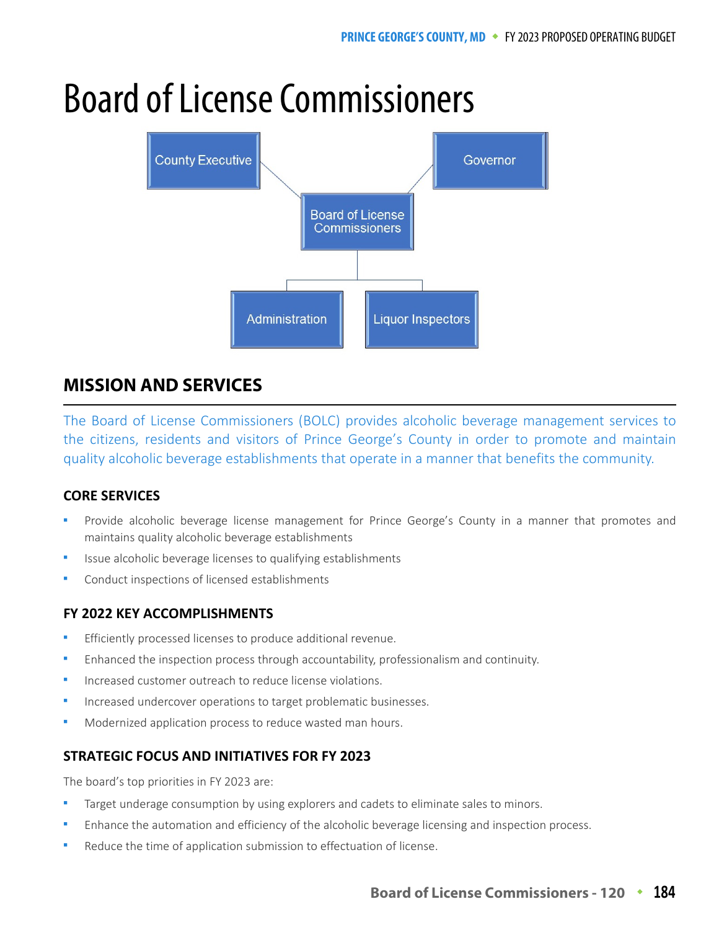# Board of License Commissioners



# **MISSION AND SERVICES**

The Board of License Commissioners (BOLC) provides alcoholic beverage management services to the citizens, residents and visitors of Prince George's County in order to promote and maintain quality alcoholic beverage establishments that operate in a manner that benefits the community.

## **CORE SERVICES**

- Provide alcoholic beverage license management for Prince George's County in a manner that promotes and maintains quality alcoholic beverage establishments
- Issue alcoholic beverage licenses to qualifying establishments
- Conduct inspections of licensed establishments

## **FY 2022 KEY ACCOMPLISHMENTS**

- Efficiently processed licenses to produce additional revenue.
- Enhanced the inspection process through accountability, professionalism and continuity.
- Increased customer outreach to reduce license violations.
- Increased undercover operations to target problematic businesses.
- Modernized application process to reduce wasted man hours.

## **STRATEGIC FOCUS AND INITIATIVES FOR FY 2023**

The board's top priorities in FY 2023 are:

- Target underage consumption by using explorers and cadets to eliminate sales to minors.
- Enhance the automation and efficiency of the alcoholic beverage licensing and inspection process.
- Reduce the time of application submission to effectuation of license.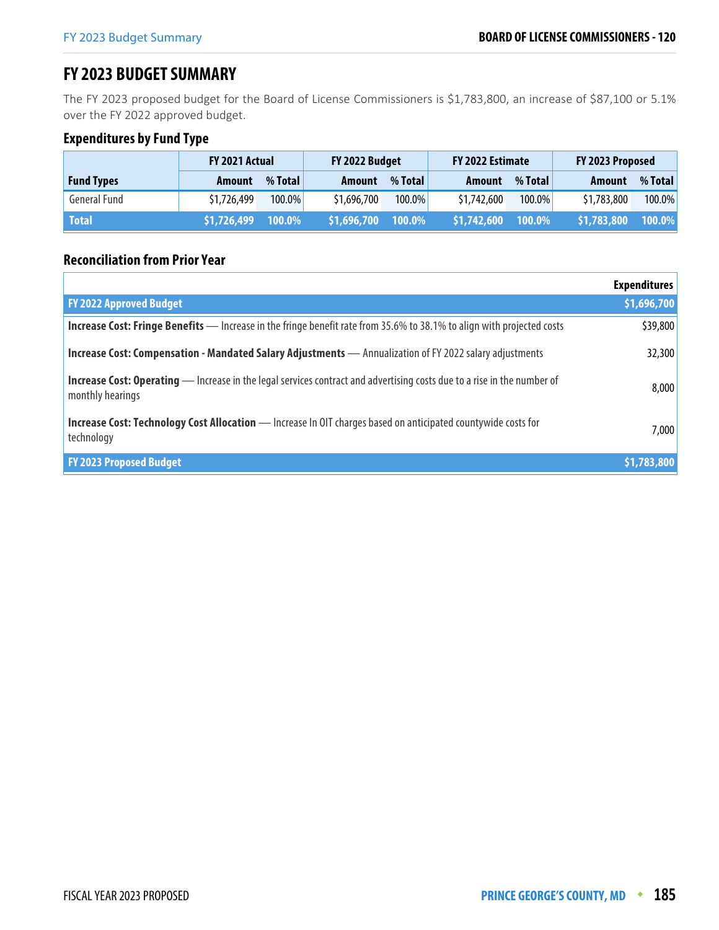## **FY 2023 BUDGET SUMMARY**

The FY 2023 proposed budget for the Board of License Commissioners is \$1,783,800, an increase of \$87,100 or 5.1% over the FY 2022 approved budget.

## **Expenditures by Fund Type**

|                   | <b>FY 2021 Actual</b> |           | FY 2022 Budget |         | FY 2022 Estimate |         | FY 2023 Proposed |           |
|-------------------|-----------------------|-----------|----------------|---------|------------------|---------|------------------|-----------|
| <b>Fund Types</b> | <b>Amount</b>         | % Total   | <b>Amount</b>  | % Total | Amount           | % Total | <b>Amount</b>    | % Total   |
| General Fund      | \$1,726,499           | $100.0\%$ | \$1,696,700    | 100.0%  | \$1,742,600      | 100.0%  | \$1,783,800      | $100.0\%$ |
| <b>Total</b>      | \$1,726,499           | $100.0\%$ | \$1,696,700    | 100.0%  | \$1,742,600      | 100.0%  | \$1,783,800      | 100.0%    |

## **Reconciliation from Prior Year**

|                                                                                                                                                    | <b>Expenditures</b> |
|----------------------------------------------------------------------------------------------------------------------------------------------------|---------------------|
| <b>FY 2022 Approved Budget</b>                                                                                                                     | \$1,696,700         |
| <b>Increase Cost: Fringe Benefits</b> — Increase in the fringe benefit rate from 35.6% to 38.1% to align with projected costs                      | \$39,800            |
| <b>Increase Cost: Compensation - Mandated Salary Adjustments - Annualization of FY 2022 salary adjustments</b>                                     | 32,300              |
| <b>Increase Cost: Operating</b> — Increase in the legal services contract and advertising costs due to a rise in the number of<br>monthly hearings | 8,000               |
| <b>Increase Cost: Technology Cost Allocation</b> - Increase In OIT charges based on anticipated countywide costs for<br>technology                 | 7,000               |
| <b>FY 2023 Proposed Budget</b>                                                                                                                     | \$1,783,800         |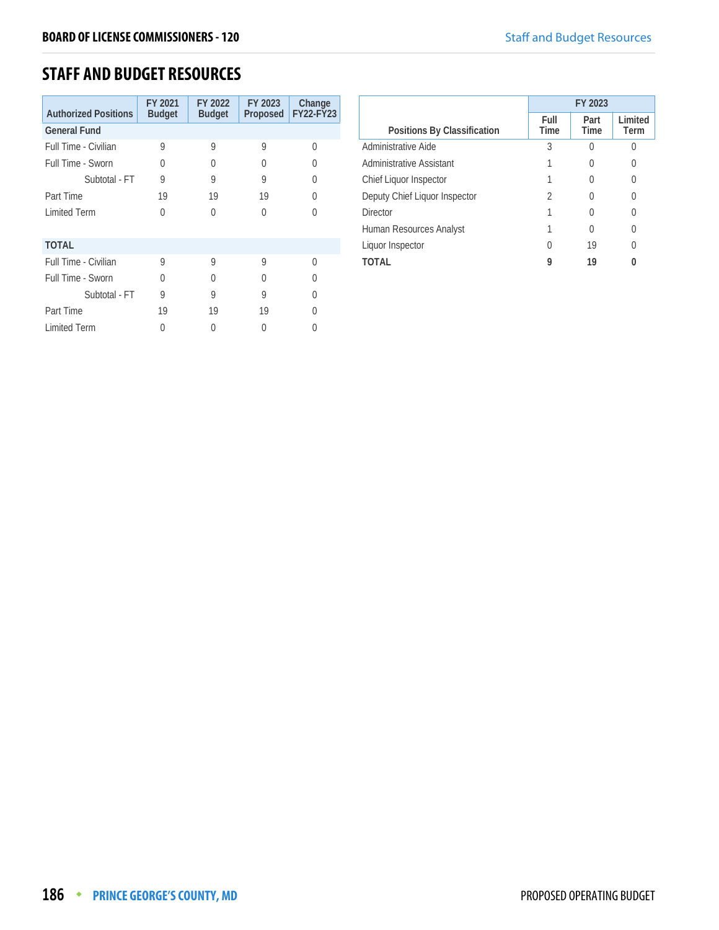## **STAFF AND BUDGET RESOURCES**

| <b>Authorized Positions</b> | FY 2021<br><b>Budget</b> | FY 2022<br><b>Budget</b> | FY 2023<br>Proposed | Change<br><b>FY22-FY23</b> |
|-----------------------------|--------------------------|--------------------------|---------------------|----------------------------|
| <b>General Fund</b>         |                          |                          |                     |                            |
| Full Time - Civilian        | 9                        | 9                        | 9                   | O                          |
| Full Time - Sworn           | U                        | 0                        | O                   |                            |
| Subtotal - FT               | 9                        | 9                        | 9                   |                            |
| Part Time                   | 19                       | 19                       | 19                  | Λ                          |
| <b>Limited Term</b>         | 0                        | U                        | U                   |                            |
| <b>TOTAL</b>                |                          |                          |                     |                            |
| Full Time - Civilian        | 9                        | 9                        | 9                   | U                          |
| Full Time - Sworn           | U                        | Λ                        | U                   |                            |
| Subtotal - FT               | 9                        | 9                        | 9                   |                            |
| Part Time                   | 19                       | 19                       | 19                  |                            |
| <b>Limited Term</b>         | O                        | 0                        | Λ                   |                            |

|                               | FY 2023          |                     |                  |  |
|-------------------------------|------------------|---------------------|------------------|--|
| Positions By Classification   | Full<br>Time     | Part<br><b>Time</b> | Limited<br>Term  |  |
| Administrative Aide           | 3                |                     | Λ                |  |
| Administrative Assistant      |                  |                     | $\left( \right)$ |  |
| Chief Liquor Inspector        |                  |                     |                  |  |
| Deputy Chief Liquor Inspector | 2                |                     |                  |  |
| Director                      |                  |                     | $\left( \right)$ |  |
| Human Resources Analyst       |                  | $\left( \right)$    |                  |  |
| Liquor Inspector              | $\left( \right)$ | 19                  | 0                |  |
| ΤΟΤΑΙ                         | 9                | 19                  |                  |  |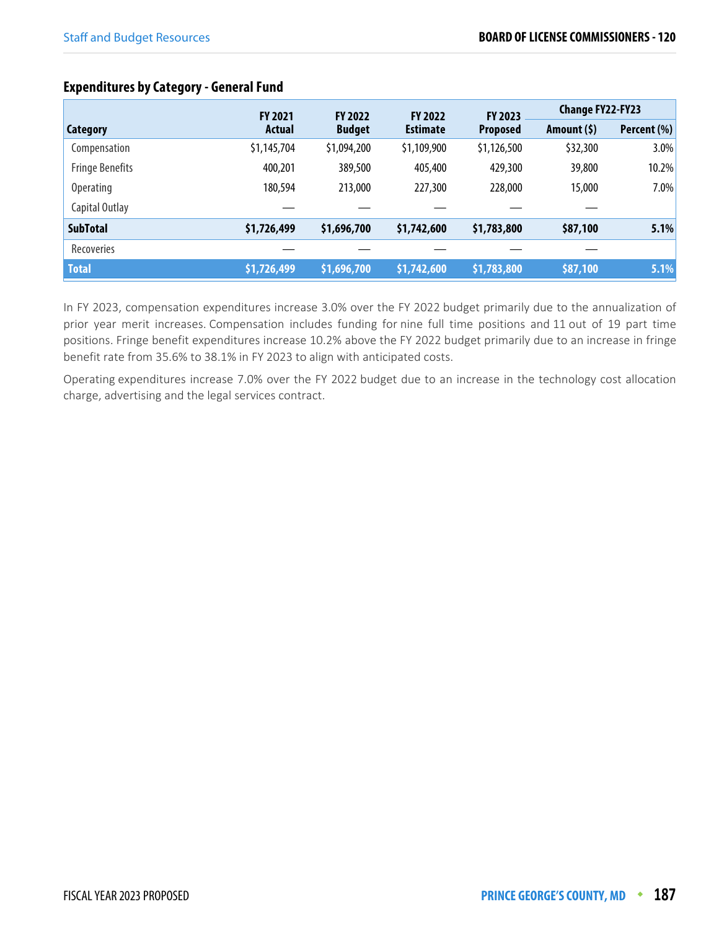## **Expenditures by Category - General Fund**

|                        | <b>FY 2021</b> | <b>FY 2022</b> | <b>FY 2022</b>  | <b>FY 2023</b>  | <b>Change FY22-FY23</b> |             |
|------------------------|----------------|----------------|-----------------|-----------------|-------------------------|-------------|
| Category               | <b>Actual</b>  | <b>Budget</b>  | <b>Estimate</b> | <b>Proposed</b> | Amount $(5)$            | Percent (%) |
| Compensation           | \$1,145,704    | \$1,094,200    | \$1,109,900     | \$1,126,500     | \$32,300                | 3.0%        |
| <b>Fringe Benefits</b> | 400,201        | 389,500        | 405,400         | 429,300         | 39,800                  | 10.2%       |
| <b>Operating</b>       | 180,594        | 213,000        | 227,300         | 228,000         | 15,000                  | 7.0%        |
| Capital Outlay         |                |                |                 |                 |                         |             |
| <b>SubTotal</b>        | \$1,726,499    | \$1,696,700    | \$1,742,600     | \$1,783,800     | \$87,100                | 5.1%        |
| Recoveries             |                |                |                 |                 |                         |             |
| <b>Total</b>           | \$1,726,499    | \$1,696,700    | \$1,742,600     | \$1,783,800     | \$87,100                | 5.1%        |

In FY 2023, compensation expenditures increase 3.0% over the FY 2022 budget primarily due to the annualization of prior year merit increases. Compensation includes funding for nine full time positions and 11 out of 19 part time positions. Fringe benefit expenditures increase 10.2% above the FY 2022 budget primarily due to an increase in fringe benefit rate from 35.6% to 38.1% in FY 2023 to align with anticipated costs.

Operating expenditures increase 7.0% over the FY 2022 budget due to an increase in the technology cost allocation charge, advertising and the legal services contract.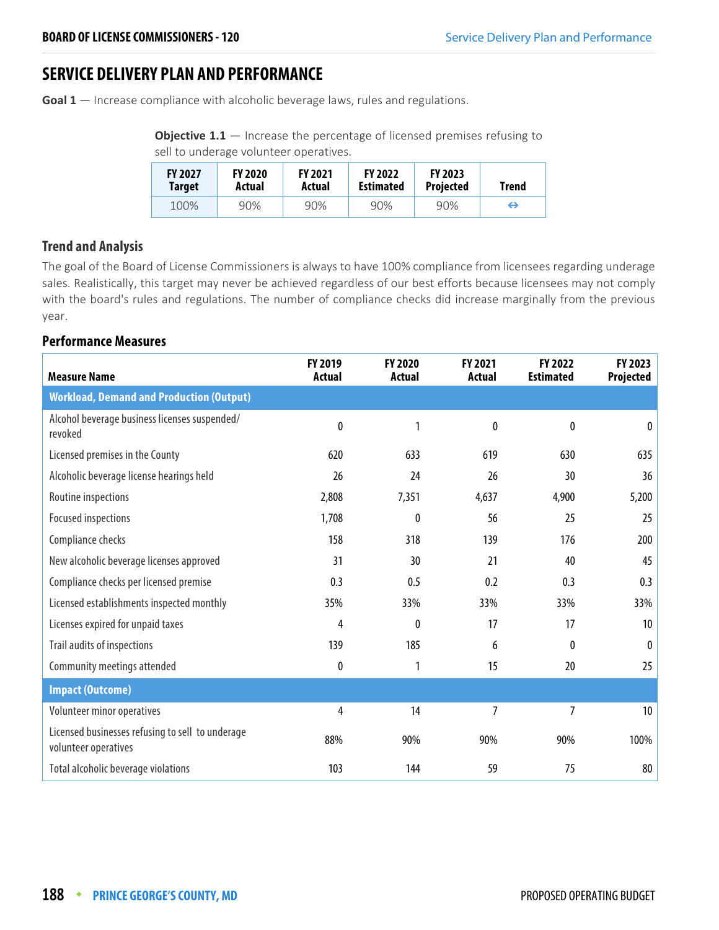## **SERVICE DELIVERY PLAN AND PERFORMANCE**

**Goal 1** — Increase compliance with alcoholic beverage laws, rules and regulations.

**Objective 1.1** – Increase the percentage of licensed premises refusing to sell to underage volunteer operatives.

| <b>FY 2027</b> | <b>FY 2020</b> | <b>FY 2021</b> | <b>FY 2022</b>   | <b>FY 2023</b>   | <b>Trend</b> |
|----------------|----------------|----------------|------------------|------------------|--------------|
| <b>Target</b>  | Actual         | Actual         | <b>Estimated</b> | <b>Projected</b> |              |
| 100%           | 90%            | 90%            | 90%              | 90%              | ⇔            |

## **Trend and Analysis**

The goal of the Board of License Commissioners is always to have 100% compliance from licensees regarding underage sales. Realistically, this target may never be achieved regardless of our best efforts because licensees may not comply with the board's rules and regulations. The number of compliance checks did increase marginally from the previous year.

#### **Performance Measures**

| <b>Measure Name</b>                                                      | FY 2019<br><b>Actual</b> | <b>FY 2020</b><br>Actual | FY 2021<br><b>Actual</b> | FY 2022<br><b>Estimated</b> | FY 2023<br>Projected |
|--------------------------------------------------------------------------|--------------------------|--------------------------|--------------------------|-----------------------------|----------------------|
| <b>Workload, Demand and Production (Output)</b>                          |                          |                          |                          |                             |                      |
| Alcohol beverage business licenses suspended/<br>revoked                 | 0                        | 1                        | $\mathbf{0}$             | $\pmb{0}$                   | $\mathbf{0}$         |
| Licensed premises in the County                                          | 620                      | 633                      | 619                      | 630                         | 635                  |
| Alcoholic beverage license hearings held                                 | 26                       | 24                       | 26                       | 30                          | 36                   |
| Routine inspections                                                      | 2,808                    | 7,351                    | 4,637                    | 4,900                       | 5,200                |
| Focused inspections                                                      | 1,708                    | $\mathbf{0}$             | 56                       | 25                          | 25                   |
| Compliance checks                                                        | 158                      | 318                      | 139                      | 176                         | 200                  |
| New alcoholic beverage licenses approved                                 | 31                       | 30                       | 21                       | 40                          | 45                   |
| Compliance checks per licensed premise                                   | 0.3                      | 0.5                      | 0.2                      | 0.3                         | 0.3                  |
| Licensed establishments inspected monthly                                | 35%                      | 33%                      | 33%                      | 33%                         | 33%                  |
| Licenses expired for unpaid taxes                                        | 4                        | 0                        | 17                       | 17                          | 10                   |
| Trail audits of inspections                                              | 139                      | 185                      | 6                        | 0                           | 0                    |
| Community meetings attended                                              | 0                        | 1                        | 15                       | 20                          | 25                   |
| <b>Impact (Outcome)</b>                                                  |                          |                          |                          |                             |                      |
| Volunteer minor operatives                                               | 4                        | 14                       | $\overline{7}$           | 7                           | 10 <sup>°</sup>      |
| Licensed businesses refusing to sell to underage<br>volunteer operatives | 88%                      | 90%                      | 90%                      | 90%                         | 100%                 |
| Total alcoholic beverage violations                                      | 103                      | 144                      | 59                       | 75                          | 80                   |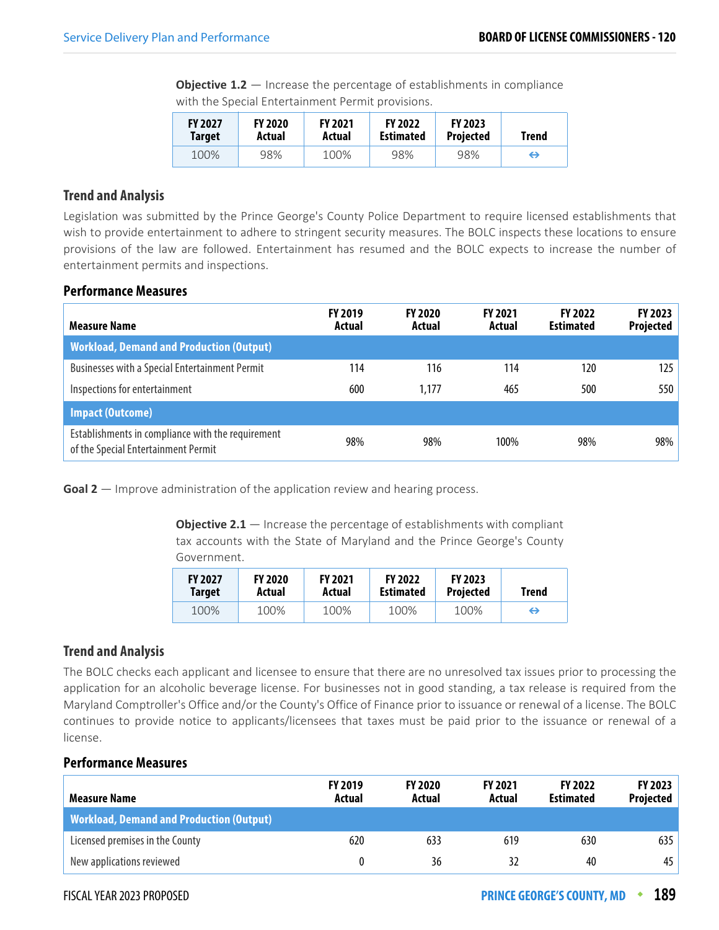**Objective 1.2** – Increase the percentage of establishments in compliance with the Special Entertainment Permit provisions.

| <b>FY 2027</b> | <b>FY 2020</b> | <b>FY 2021</b> | <b>FY 2022</b>   | <b>FY 2023</b>   | Trend |
|----------------|----------------|----------------|------------------|------------------|-------|
| <b>Target</b>  | Actual         | Actual         | <b>Estimated</b> | <b>Projected</b> |       |
| 100%           | 98%            | 100%           | 98%              | 98%              | ⇔     |

#### **Trend and Analysis**

Legislation was submitted by the Prince George's County Police Department to require licensed establishments that wish to provide entertainment to adhere to stringent security measures. The BOLC inspects these locations to ensure provisions of the law are followed. Entertainment has resumed and the BOLC expects to increase the number of entertainment permits and inspections.

#### **Performance Measures**

| <b>Measure Name</b>                                                                      | <b>FY 2019</b><br>Actual | <b>FY 2020</b><br>Actual | <b>FY 2021</b><br>Actual | <b>FY 2022</b><br><b>Estimated</b> | <b>FY 2023</b><br>Projected |
|------------------------------------------------------------------------------------------|--------------------------|--------------------------|--------------------------|------------------------------------|-----------------------------|
| <b>Workload, Demand and Production (Output)</b>                                          |                          |                          |                          |                                    |                             |
| <b>Businesses with a Special Entertainment Permit</b>                                    | 114                      | 116                      | 114                      | 120                                | 125                         |
| Inspections for entertainment                                                            | 600                      | 1.177                    | 465                      | 500                                | 550                         |
| <b>Impact (Outcome)</b>                                                                  |                          |                          |                          |                                    |                             |
| Establishments in compliance with the requirement<br>of the Special Entertainment Permit | 98%                      | 98%                      | 100%                     | 98%                                | 98%                         |

**Goal 2** — Improve administration of the application review and hearing process.

**Objective 2.1** – Increase the percentage of establishments with compliant tax accounts with the State of Maryland and the Prince George's County Government.

| <b>FY 2027</b> | <b>FY 2020</b> | <b>FY 2021</b> | <b>FY 2022</b>   | <b>FY 2023</b>   | Trend |
|----------------|----------------|----------------|------------------|------------------|-------|
| <b>Target</b>  | Actual         | Actual         | <b>Estimated</b> | <b>Projected</b> |       |
| 100%           | 100%           | 100%           | 100%             | 100%             | ↔     |

#### **Trend and Analysis**

The BOLC checks each applicant and licensee to ensure that there are no unresolved tax issues prior to processing the application for an alcoholic beverage license. For businesses not in good standing, a tax release is required from the Maryland Comptroller's Office and/or the County's Office of Finance prior to issuance or renewal of a license. The BOLC continues to provide notice to applicants/licensees that taxes must be paid prior to the issuance or renewal of a license.

## **Performance Measures**

| <b>Measure Name</b>                             | <b>FY 2019</b><br>Actual | <b>FY 2020</b><br>Actual | <b>FY 2021</b><br>Actual | <b>FY 2022</b><br><b>Estimated</b> | <b>FY 2023</b><br>Projected |
|-------------------------------------------------|--------------------------|--------------------------|--------------------------|------------------------------------|-----------------------------|
| <b>Workload, Demand and Production (Output)</b> |                          |                          |                          |                                    |                             |
| Licensed premises in the County                 | 620                      | 633                      | 619                      | 630                                | 635                         |
| New applications reviewed                       |                          | 36                       |                          | 40                                 | 45                          |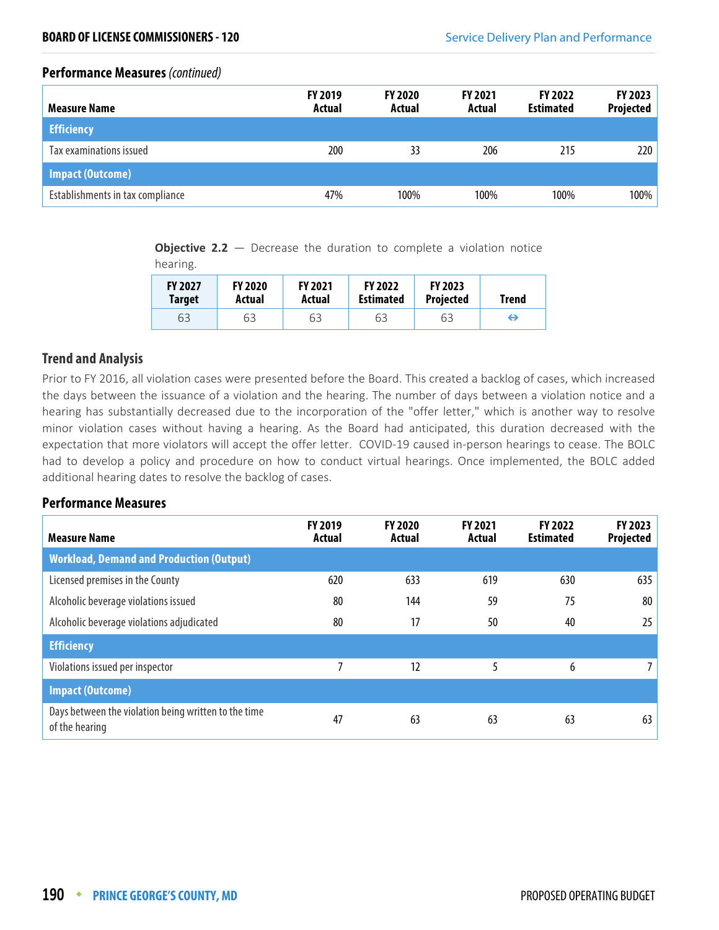#### **Performance Measures** (continued)

| <b>Measure Name</b>              | <b>FY 2019</b><br>Actual | <b>FY 2020</b><br>Actual | <b>FY 2021</b><br>Actual | <b>FY 2022</b><br><b>Estimated</b> | <b>FY 2023</b><br>Projected |
|----------------------------------|--------------------------|--------------------------|--------------------------|------------------------------------|-----------------------------|
| <b>Efficiency</b>                |                          |                          |                          |                                    |                             |
| Tax examinations issued          | 200                      | 33                       | 206                      | 215                                | 220                         |
| <b>Impact (Outcome)</b>          |                          |                          |                          |                                    |                             |
| Establishments in tax compliance | 47%                      | 100%                     | 100%                     | 100%                               | 100%                        |

**Objective 2.2** – Decrease the duration to complete a violation notice

hearing.

| <b>FY 2027</b> | <b>FY 2020</b> | <b>FY 2021</b> | <b>FY 2022</b>   | <b>FY 2023</b> | <b>Trend</b> |
|----------------|----------------|----------------|------------------|----------------|--------------|
| <b>Target</b>  | Actual         | Actual         | <b>Estimated</b> | Projected      |              |
| 63             | 63             | 63             | 63               | 63             | ↔            |

## **Trend and Analysis**

Prior to FY 2016, all violation cases were presented before the Board. This created a backlog of cases, which increased the days between the issuance of a violation and the hearing. The number of days between a violation notice and a hearing has substantially decreased due to the incorporation of the "offer letter," which is another way to resolve minor violation cases without having a hearing. As the Board had anticipated, this duration decreased with the expectation that more violators will accept the offer letter. COVID-19 caused in-person hearings to cease. The BOLC had to develop a policy and procedure on how to conduct virtual hearings. Once implemented, the BOLC added additional hearing dates to resolve the backlog of cases.

#### **Performance Measures**

| <b>Measure Name</b>                                                    | <b>FY 2019</b><br>Actual | <b>FY 2020</b><br>Actual | <b>FY 2021</b><br>Actual | <b>FY 2022</b><br><b>Estimated</b> | FY 2023<br>Projected |
|------------------------------------------------------------------------|--------------------------|--------------------------|--------------------------|------------------------------------|----------------------|
| <b>Workload, Demand and Production (Output)</b>                        |                          |                          |                          |                                    |                      |
| Licensed premises in the County                                        | 620                      | 633                      | 619                      | 630                                | 635                  |
| Alcoholic beverage violations issued                                   | 80                       | 144                      | 59                       | 75                                 | 80                   |
| Alcoholic beverage violations adjudicated                              | 80                       | 17                       | 50                       | 40                                 | 25                   |
| <b>Efficiency</b>                                                      |                          |                          |                          |                                    |                      |
| Violations issued per inspector                                        |                          | 12                       |                          | 6                                  | $7^{\circ}$          |
| <b>Impact (Outcome)</b>                                                |                          |                          |                          |                                    |                      |
| Days between the violation being written to the time<br>of the hearing | 47                       | 63                       | 63                       | 63                                 | 63                   |